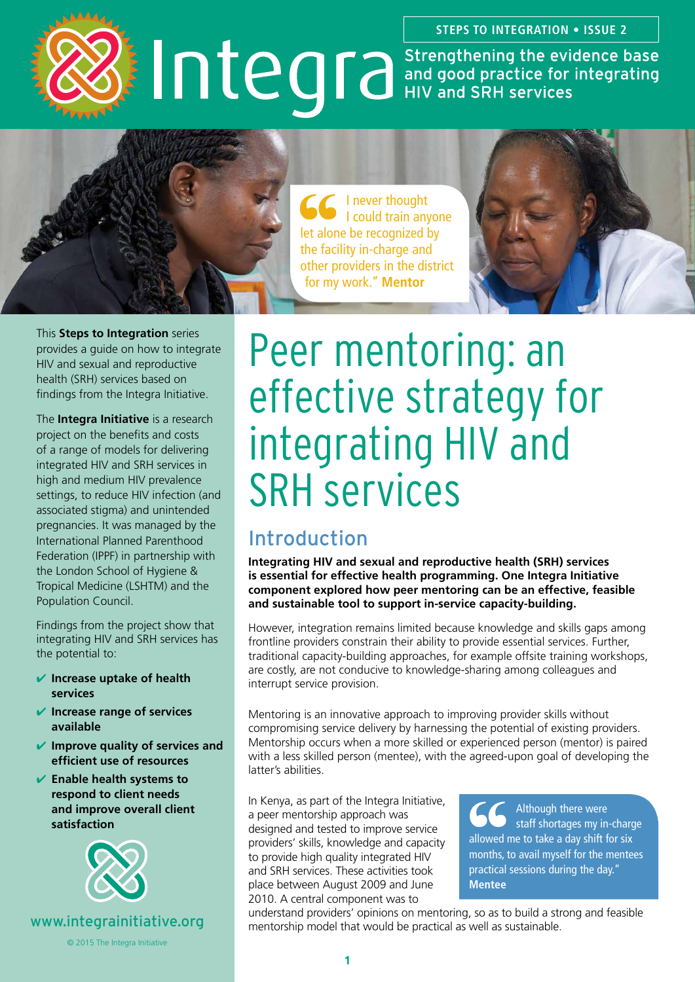**STEPS TO INTEGRATION • ISSUE 2**

# **IDECOTE Strengthening the evidence base**<br>and good practice for integrating<br>HIV and SRH services



I never thought I could train anyone let alone be recognized by the facility in-charge and other providers in the district for my work." **Mentor**



This **Steps to Integration** series provides a guide on how to integrate HIV and sexual and reproductive health (SRH) services based on findings from the Integra Initiative.

The **Integra Initiative** is a research project on the benefits and costs of a range of models for delivering integrated HIV and SRH services in high and medium HIV prevalence settings, to reduce HIV infection (and associated stigma) and unintended pregnancies. It was managed by the International Planned Parenthood Federation (IPPF) in partnership with the London School of Hygiene & Tropical Medicine (LSHTM) and the Population Council.

Findings from the project show that integrating HIV and SRH services has the potential to:

- ✔ **Increase uptake of health services**
- ✔ **Increase range of services available**
- ✔ **Improve quality of services and efficient use of resources**
- ✔ **Enable health systems to respond to client needs and improve overall client satisfaction**



<www.integrainitiative.org>

© 2015 The Integra Initiative

# Peer mentoring: an effective strategy for integrating HIV and SRH services

# Introduction

**Integrating HIV and sexual and reproductive health (SRH) services is essential for effective health programming. One Integra Initiative component explored how peer mentoring can be an effective, feasible and sustainable tool to support in-service capacity-building.**

However, integration remains limited because knowledge and skills gaps among frontline providers constrain their ability to provide essential services. Further, traditional capacity-building approaches, for example offsite training workshops, are costly, are not conducive to knowledge-sharing among colleagues and interrupt service provision.

Mentoring is an innovative approach to improving provider skills without compromising service delivery by harnessing the potential of existing providers. Mentorship occurs when a more skilled or experienced person (mentor) is paired with a less skilled person (mentee), with the agreed-upon goal of developing the latter's abilities.

In Kenya, as part of the Integra Initiative, a peer mentorship approach was designed and tested to improve service providers' skills, knowledge and capacity to provide high quality integrated HIV and SRH services. These activities took place between August 2009 and June 2010. A central component was to

Although there were staff shortages my in-charge allowed me to take a day shift for six months, to avail myself for the mentees practical sessions during the day." **Mentee**

understand providers' opinions on mentoring, so as to build a strong and feasible mentorship model that would be practical as well as sustainable.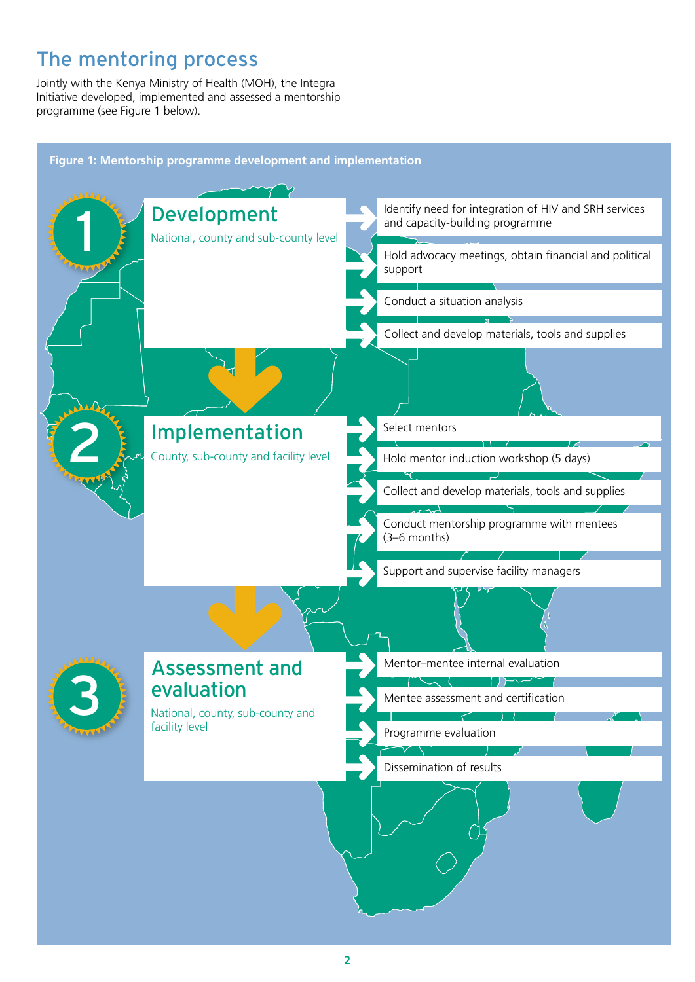# The mentoring process

Jointly with the Kenya Ministry of Health (MOH), the Integra Initiative developed, implemented and assessed a mentorship programme (see Figure 1 below).

**Figure 1: Mentorship programme development and implementation**

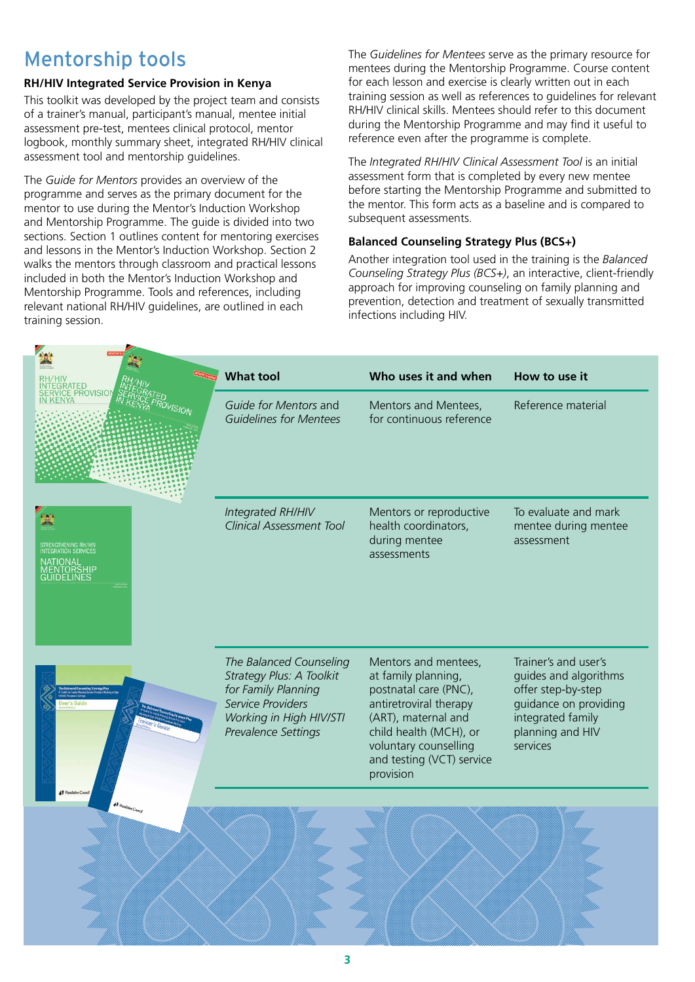# Mentorship tools

#### **RH/HIV Integrated Service Provision in Kenya**

This toolkit was developed by the project team and consists of a trainer's manual, participant's manual, mentee initial assessment pre-test, mentees clinical protocol, mentor logbook, monthly summary sheet, integrated RH/HIV clinical assessment tool and mentorship guidelines.

The *Guide for Mentors* provides an overview of the programme and serves as the primary document for the mentor to use during the Mentor's Induction Workshop and Mentorship Programme. The guide is divided into two sections. Section 1 outlines content for mentoring exercises and lessons in the Mentor's Induction Workshop. Section 2 walks the mentors through classroom and practical lessons included in both the Mentor's Induction Workshop and Mentorship Programme. Tools and references, including relevant national RH/HIV guidelines, are outlined in each training session.

The *Guidelines for Mentees* serve as the primary resource for mentees during the Mentorship Programme. Course content for each lesson and exercise is clearly written out in each training session as well as references to guidelines for relevant RH/HIV clinical skills. Mentees should refer to this document during the Mentorship Programme and may find it useful to reference even after the programme is complete.

The *Integrated RH/HIV Clinical Assessment Tool* is an initial assessment form that is completed by every new mentee before starting the Mentorship Programme and submitted to the mentor. This form acts as a baseline and is compared to subsequent assessments.

#### **Balanced Counseling Strategy Plus (BCS+)**

Another integration tool used in the training is the *Balanced Counseling Strategy Plus (BCS+)*, an interactive, client-friendly approach for improving counseling on family planning and prevention, detection and treatment of sexually transmitted infections including HIV.

|                             | <b>What tool</b>                                                                                                                                  | Who uses it and when                                                                                                                                                                                               | How to use it                                                                                                                                     |
|-----------------------------|---------------------------------------------------------------------------------------------------------------------------------------------------|--------------------------------------------------------------------------------------------------------------------------------------------------------------------------------------------------------------------|---------------------------------------------------------------------------------------------------------------------------------------------------|
| <b>PROVISIO</b>             | Guide for Mentors and<br><b>Guidelines for Mentees</b>                                                                                            | Mentors and Mentees,<br>for continuous reference                                                                                                                                                                   | Reference material                                                                                                                                |
| <b>INTEGRATION SERVICES</b> | Integrated RH/HIV<br><b>Clinical Assessment Tool</b>                                                                                              | Mentors or reproductive<br>health coordinators,<br>during mentee<br>assessments                                                                                                                                    | To evaluate and mark<br>mentee during mentee<br>assessment                                                                                        |
|                             | The Balanced Counseling<br>Strategy Plus: A Toolkit<br>for Family Planning<br>Service Providers<br>Working in High HIV/STI<br>Prevalence Settings | Mentors and mentees,<br>at family planning,<br>postnatal care (PNC),<br>antiretroviral therapy<br>(ART), maternal and<br>child health (MCH), or<br>voluntary counselling<br>and testing (VCT) service<br>provision | Trainer's and user's<br>guides and algorithms<br>offer step-by-step<br>guidance on providing<br>integrated family<br>planning and HIV<br>services |
|                             |                                                                                                                                                   |                                                                                                                                                                                                                    |                                                                                                                                                   |